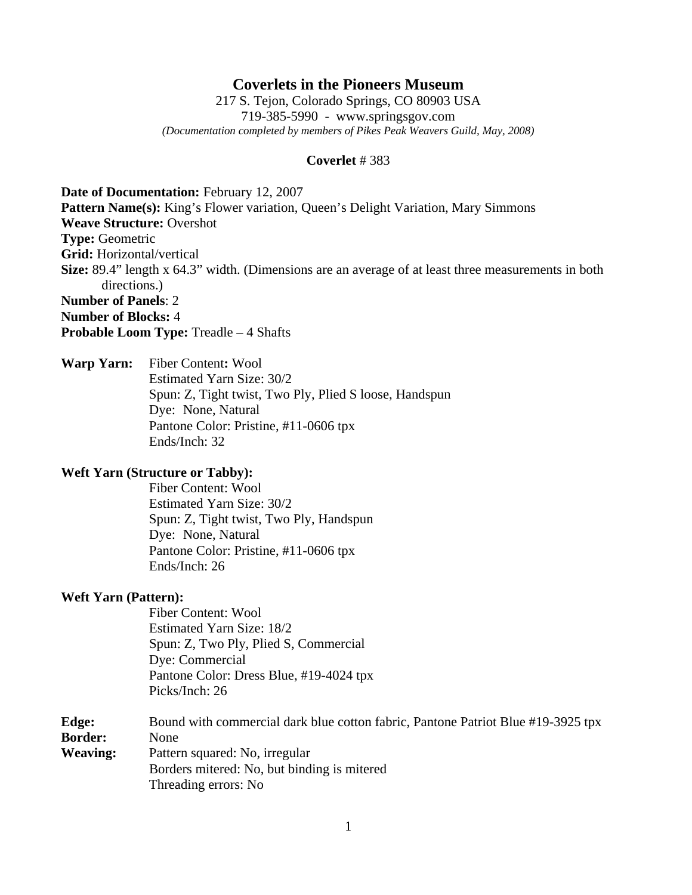# **Coverlets in the Pioneers Museum**

217 S. Tejon, Colorado Springs, CO 80903 USA 719-385-5990 - www.springsgov.com *(Documentation completed by members of Pikes Peak Weavers Guild, May, 2008)* 

#### **Coverlet** # 383

**Date of Documentation:** February 12, 2007 **Pattern Name(s):** King's Flower variation, Queen's Delight Variation, Mary Simmons **Weave Structure:** Overshot **Type:** Geometric **Grid:** Horizontal/vertical **Size:** 89.4" length x 64.3" width. (Dimensions are an average of at least three measurements in both directions.) **Number of Panels**: 2 **Number of Blocks:** 4 **Probable Loom Type:** Treadle – 4 Shafts

**Warp Yarn:** Fiber Content**:** Wool Estimated Yarn Size: 30/2 Spun: Z, Tight twist, Two Ply, Plied S loose, Handspun Dye: None, Natural Pantone Color: Pristine, #11-0606 tpx Ends/Inch: 32

### **Weft Yarn (Structure or Tabby):**

 Fiber Content: Wool Estimated Yarn Size: 30/2 Spun: Z, Tight twist, Two Ply, Handspun Dye: None, Natural Pantone Color: Pristine, #11-0606 tpx Ends/Inch: 26

### **Weft Yarn (Pattern):**

 Fiber Content: Wool Estimated Yarn Size: 18/2 Spun: Z, Two Ply, Plied S, Commercial Dye: Commercial Pantone Color: Dress Blue, #19-4024 tpx Picks/Inch: 26

**Edge:** Bound with commercial dark blue cotton fabric, Pantone Patriot Blue #19-3925 tpx **Border:** None **Weaving:** Pattern squared: No, irregular Borders mitered: No, but binding is mitered Threading errors: No